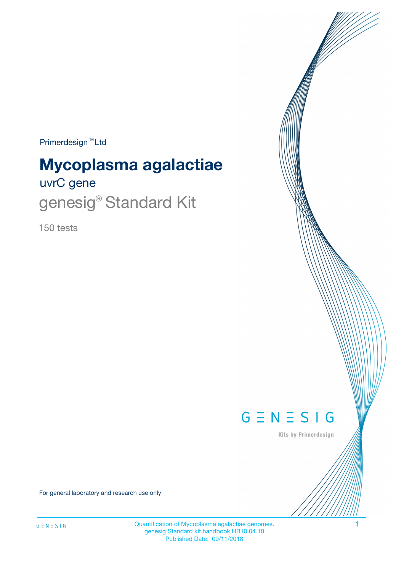Primerdesign<sup>™</sup>Ltd

# **Mycoplasma agalactiae**

uvrC gene

genesig<sup>®</sup> Standard Kit

150 tests



Kits by Primerdesign

For general laboratory and research use only

Quantification of Mycoplasma agalactiae genomes. 1 genesig Standard kit handbook HB10.04.10 Published Date: 09/11/2018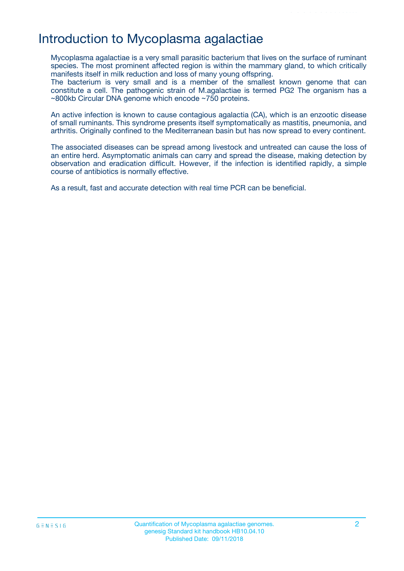# Introduction to Mycoplasma agalactiae

Mycoplasma agalactiae is a very small parasitic bacterium that lives on the surface of ruminant species. The most prominent affected region is within the mammary gland, to which critically manifests itself in milk reduction and loss of many young offspring.

The bacterium is very small and is a member of the smallest known genome that can constitute a cell. The pathogenic strain of M.agalactiae is termed PG2 The organism has a ~800kb Circular DNA genome which encode ~750 proteins.

An active infection is known to cause contagious agalactia (CA), which is an enzootic disease of small ruminants. This syndrome presents itself symptomatically as mastitis, pneumonia, and arthritis. Originally confined to the Mediterranean basin but has now spread to every continent.

The associated diseases can be spread among livestock and untreated can cause the loss of an entire herd. Asymptomatic animals can carry and spread the disease, making detection by observation and eradication difficult. However, if the infection is identified rapidly, a simple course of antibiotics is normally effective.

As a result, fast and accurate detection with real time PCR can be beneficial.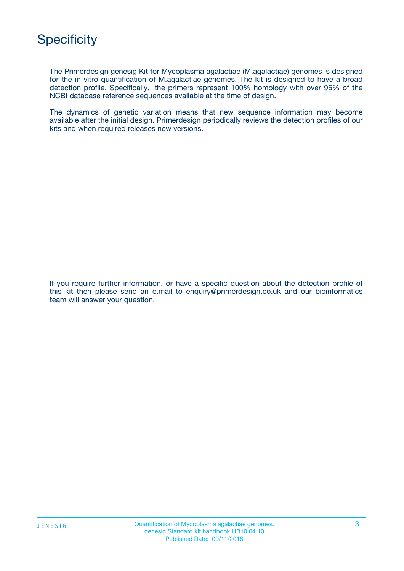

The Primerdesign genesig Kit for Mycoplasma agalactiae (M.agalactiae) genomes is designed for the in vitro quantification of M.agalactiae genomes. The kit is designed to have a broad detection profile. Specifically, the primers represent 100% homology with over 95% of the NCBI database reference sequences available at the time of design.

The dynamics of genetic variation means that new sequence information may become available after the initial design. Primerdesign periodically reviews the detection profiles of our kits and when required releases new versions.

If you require further information, or have a specific question about the detection profile of this kit then please send an e.mail to enquiry@primerdesign.co.uk and our bioinformatics team will answer your question.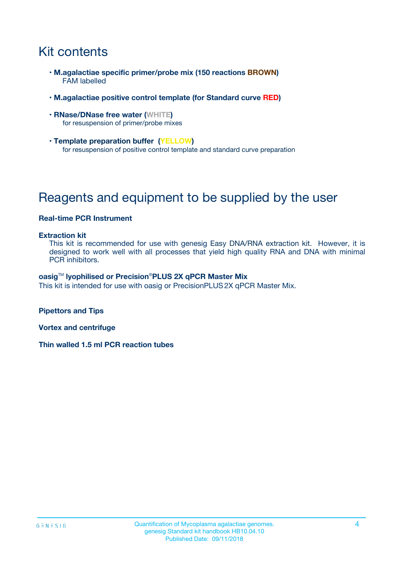# Kit contents

- **M.agalactiae specific primer/probe mix (150 reactions BROWN)** FAM labelled
- **M.agalactiae positive control template (for Standard curve RED)**
- **RNase/DNase free water (WHITE)** for resuspension of primer/probe mixes
- **Template preparation buffer (YELLOW)** for resuspension of positive control template and standard curve preparation

# Reagents and equipment to be supplied by the user

### **Real-time PCR Instrument**

#### **Extraction kit**

This kit is recommended for use with genesig Easy DNA/RNA extraction kit. However, it is designed to work well with all processes that yield high quality RNA and DNA with minimal PCR inhibitors.

#### **oasig**TM **lyophilised or Precision**®**PLUS 2X qPCR Master Mix**

This kit is intended for use with oasig or PrecisionPLUS2X qPCR Master Mix.

**Pipettors and Tips**

**Vortex and centrifuge**

**Thin walled 1.5 ml PCR reaction tubes**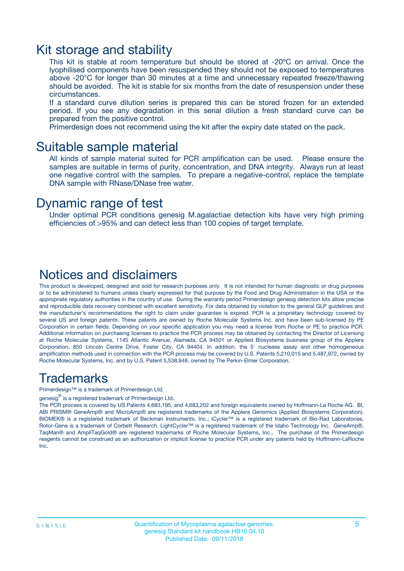### Kit storage and stability

This kit is stable at room temperature but should be stored at -20ºC on arrival. Once the lyophilised components have been resuspended they should not be exposed to temperatures above -20°C for longer than 30 minutes at a time and unnecessary repeated freeze/thawing should be avoided. The kit is stable for six months from the date of resuspension under these circumstances.

If a standard curve dilution series is prepared this can be stored frozen for an extended period. If you see any degradation in this serial dilution a fresh standard curve can be prepared from the positive control.

Primerdesign does not recommend using the kit after the expiry date stated on the pack.

### Suitable sample material

All kinds of sample material suited for PCR amplification can be used. Please ensure the samples are suitable in terms of purity, concentration, and DNA integrity. Always run at least one negative control with the samples. To prepare a negative-control, replace the template DNA sample with RNase/DNase free water.

### Dynamic range of test

Under optimal PCR conditions genesig M.agalactiae detection kits have very high priming efficiencies of >95% and can detect less than 100 copies of target template.

### Notices and disclaimers

This product is developed, designed and sold for research purposes only. It is not intended for human diagnostic or drug purposes or to be administered to humans unless clearly expressed for that purpose by the Food and Drug Administration in the USA or the appropriate regulatory authorities in the country of use. During the warranty period Primerdesign genesig detection kits allow precise and reproducible data recovery combined with excellent sensitivity. For data obtained by violation to the general GLP guidelines and the manufacturer's recommendations the right to claim under guarantee is expired. PCR is a proprietary technology covered by several US and foreign patents. These patents are owned by Roche Molecular Systems Inc. and have been sub-licensed by PE Corporation in certain fields. Depending on your specific application you may need a license from Roche or PE to practice PCR. Additional information on purchasing licenses to practice the PCR process may be obtained by contacting the Director of Licensing at Roche Molecular Systems, 1145 Atlantic Avenue, Alameda, CA 94501 or Applied Biosystems business group of the Applera Corporation, 850 Lincoln Centre Drive, Foster City, CA 94404. In addition, the 5' nuclease assay and other homogeneous amplification methods used in connection with the PCR process may be covered by U.S. Patents 5,210,015 and 5,487,972, owned by Roche Molecular Systems, Inc, and by U.S. Patent 5,538,848, owned by The Perkin-Elmer Corporation.

### Trademarks

Primerdesign™ is a trademark of Primerdesign Ltd.

genesig $^\circledR$  is a registered trademark of Primerdesign Ltd.

The PCR process is covered by US Patents 4,683,195, and 4,683,202 and foreign equivalents owned by Hoffmann-La Roche AG. BI, ABI PRISM® GeneAmp® and MicroAmp® are registered trademarks of the Applera Genomics (Applied Biosystems Corporation). BIOMEK® is a registered trademark of Beckman Instruments, Inc.; iCycler™ is a registered trademark of Bio-Rad Laboratories, Rotor-Gene is a trademark of Corbett Research. LightCycler™ is a registered trademark of the Idaho Technology Inc. GeneAmp®, TaqMan® and AmpliTaqGold® are registered trademarks of Roche Molecular Systems, Inc., The purchase of the Primerdesign reagents cannot be construed as an authorization or implicit license to practice PCR under any patents held by Hoffmann-LaRoche Inc.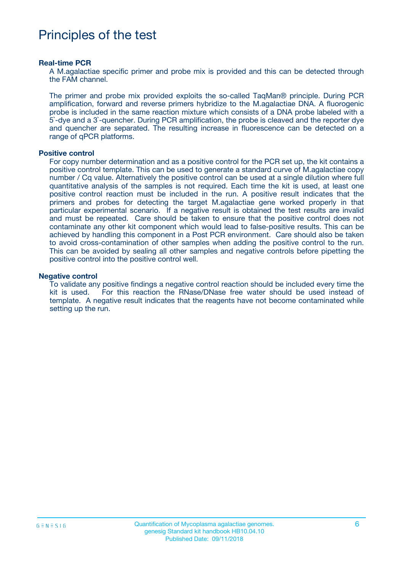# Principles of the test

#### **Real-time PCR**

A M.agalactiae specific primer and probe mix is provided and this can be detected through the FAM channel.

The primer and probe mix provided exploits the so-called TaqMan® principle. During PCR amplification, forward and reverse primers hybridize to the M.agalactiae DNA. A fluorogenic probe is included in the same reaction mixture which consists of a DNA probe labeled with a 5`-dye and a 3`-quencher. During PCR amplification, the probe is cleaved and the reporter dye and quencher are separated. The resulting increase in fluorescence can be detected on a range of qPCR platforms.

#### **Positive control**

For copy number determination and as a positive control for the PCR set up, the kit contains a positive control template. This can be used to generate a standard curve of M.agalactiae copy number / Cq value. Alternatively the positive control can be used at a single dilution where full quantitative analysis of the samples is not required. Each time the kit is used, at least one positive control reaction must be included in the run. A positive result indicates that the primers and probes for detecting the target M.agalactiae gene worked properly in that particular experimental scenario. If a negative result is obtained the test results are invalid and must be repeated. Care should be taken to ensure that the positive control does not contaminate any other kit component which would lead to false-positive results. This can be achieved by handling this component in a Post PCR environment. Care should also be taken to avoid cross-contamination of other samples when adding the positive control to the run. This can be avoided by sealing all other samples and negative controls before pipetting the positive control into the positive control well.

#### **Negative control**

To validate any positive findings a negative control reaction should be included every time the kit is used. For this reaction the RNase/DNase free water should be used instead of template. A negative result indicates that the reagents have not become contaminated while setting up the run.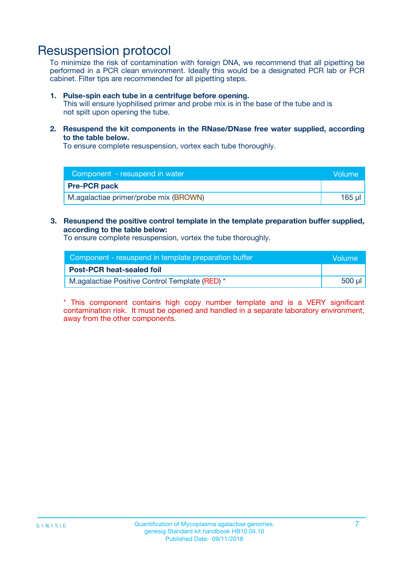## Resuspension protocol

To minimize the risk of contamination with foreign DNA, we recommend that all pipetting be performed in a PCR clean environment. Ideally this would be a designated PCR lab or PCR cabinet. Filter tips are recommended for all pipetting steps.

#### **1. Pulse-spin each tube in a centrifuge before opening.**

This will ensure lyophilised primer and probe mix is in the base of the tube and is not spilt upon opening the tube.

**2. Resuspend the kit components in the RNase/DNase free water supplied, according to the table below.**

To ensure complete resuspension, vortex each tube thoroughly.

| Component - resuspend in water<br>Volume |        |
|------------------------------------------|--------|
| <b>Pre-PCR pack</b>                      |        |
| M.agalactiae primer/probe mix (BROWN)    | 165 ul |

#### **3. Resuspend the positive control template in the template preparation buffer supplied, according to the table below:**

To ensure complete resuspension, vortex the tube thoroughly.

| Component - resuspend in template preparation buffer |        |  |
|------------------------------------------------------|--------|--|
| <b>Post-PCR heat-sealed foil</b>                     |        |  |
| M.agalactiae Positive Control Template (RED) *       | 500 µl |  |

\* This component contains high copy number template and is a VERY significant contamination risk. It must be opened and handled in a separate laboratory environment, away from the other components.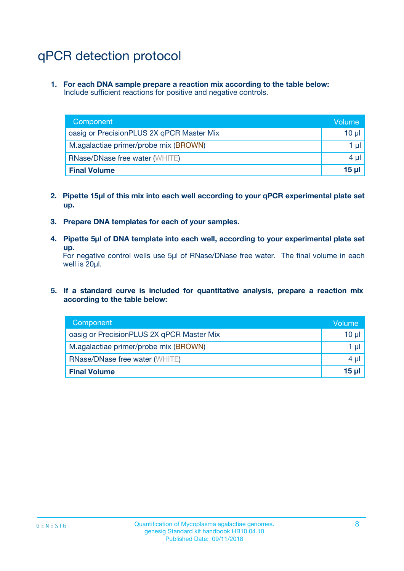# qPCR detection protocol

**1. For each DNA sample prepare a reaction mix according to the table below:** Include sufficient reactions for positive and negative controls.

| Component                                 | Volume          |
|-------------------------------------------|-----------------|
| oasig or PrecisionPLUS 2X qPCR Master Mix | $10 \mu$        |
| M.agalactiae primer/probe mix (BROWN)     | 1 µI I          |
| <b>RNase/DNase free water (WHITE)</b>     | $4 \mu$         |
| <b>Final Volume</b>                       | 15 <sub>µ</sub> |

- **2. Pipette 15µl of this mix into each well according to your qPCR experimental plate set up.**
- **3. Prepare DNA templates for each of your samples.**
- **4. Pipette 5µl of DNA template into each well, according to your experimental plate set up.**

For negative control wells use 5µl of RNase/DNase free water. The final volume in each well is 20µl.

**5. If a standard curve is included for quantitative analysis, prepare a reaction mix according to the table below:**

| Component                                 | Volume   |
|-------------------------------------------|----------|
| oasig or PrecisionPLUS 2X qPCR Master Mix | 10 µl    |
| M.agalactiae primer/probe mix (BROWN)     | 1 µI     |
| <b>RNase/DNase free water (WHITE)</b>     | $4 \mu$  |
| <b>Final Volume</b>                       | $15 \mu$ |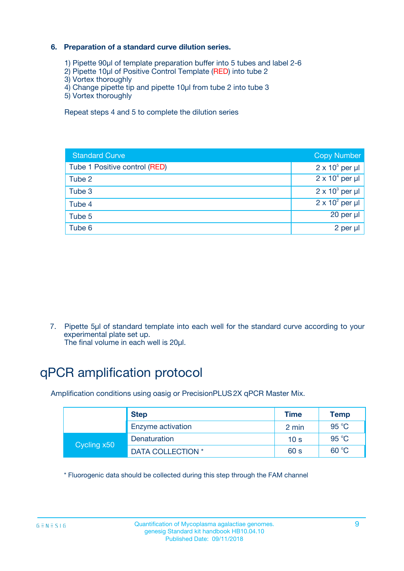### **6. Preparation of a standard curve dilution series.**

- 1) Pipette 90µl of template preparation buffer into 5 tubes and label 2-6
- 2) Pipette 10µl of Positive Control Template (RED) into tube 2
- 3) Vortex thoroughly
- 4) Change pipette tip and pipette 10µl from tube 2 into tube 3
- 5) Vortex thoroughly

Repeat steps 4 and 5 to complete the dilution series

| <b>Standard Curve</b>         | <b>Copy Number</b>     |
|-------------------------------|------------------------|
| Tube 1 Positive control (RED) | $2 \times 10^5$ per µl |
| Tube 2                        | $2 \times 10^4$ per µl |
| Tube 3                        | $2 \times 10^3$ per µl |
| Tube 4                        | $2 \times 10^2$ per µl |
| Tube 5                        | 20 per µl              |
| Tube 6                        | $2$ per $\mu$          |

7. Pipette 5µl of standard template into each well for the standard curve according to your experimental plate set up.

The final volume in each well is 20µl.

# qPCR amplification protocol

Amplification conditions using oasig or PrecisionPLUS2X qPCR Master Mix.

|             | <b>Step</b>       | <b>Time</b>     | Temp    |
|-------------|-------------------|-----------------|---------|
|             | Enzyme activation | 2 min           | 95 °C   |
| Cycling x50 | Denaturation      | 10 <sub>s</sub> | 95 $°C$ |
|             | DATA COLLECTION * | 60 s            | 60 °C   |

\* Fluorogenic data should be collected during this step through the FAM channel